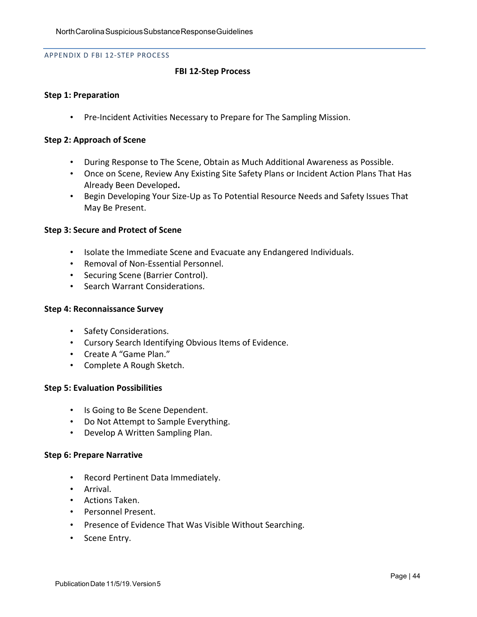#### APPENDIX D FBI 12-STEP PROCESS

### **FBI 12-Step Process**

### **Step 1: Preparation**

• Pre-Incident Activities Necessary to Prepare for The Sampling Mission.

#### **Step 2: Approach of Scene**

- During Response to The Scene, Obtain as Much Additional Awareness as Possible.
- Once on Scene, Review Any Existing Site Safety Plans or Incident Action Plans That Has Already Been Developed**.**
- Begin Developing Your Size-Up as To Potential Resource Needs and Safety Issues That May Be Present.

#### **Step 3: Secure and Protect of Scene**

- Isolate the Immediate Scene and Evacuate any Endangered Individuals.
- Removal of Non-Essential Personnel.
- Securing Scene (Barrier Control).
- Search Warrant Considerations.

### **Step 4: Reconnaissance Survey**

- Safety Considerations.
- Cursory Search Identifying Obvious Items of Evidence.
- Create A "Game Plan."
- Complete A Rough Sketch.

### **Step 5: Evaluation Possibilities**

- Is Going to Be Scene Dependent.
- Do Not Attempt to Sample Everything.
- Develop A Written Sampling Plan.

#### **Step 6: Prepare Narrative**

- Record Pertinent Data Immediately.
- Arrival.
- Actions Taken.
- Personnel Present.
- Presence of Evidence That Was Visible Without Searching.
- Scene Entry.